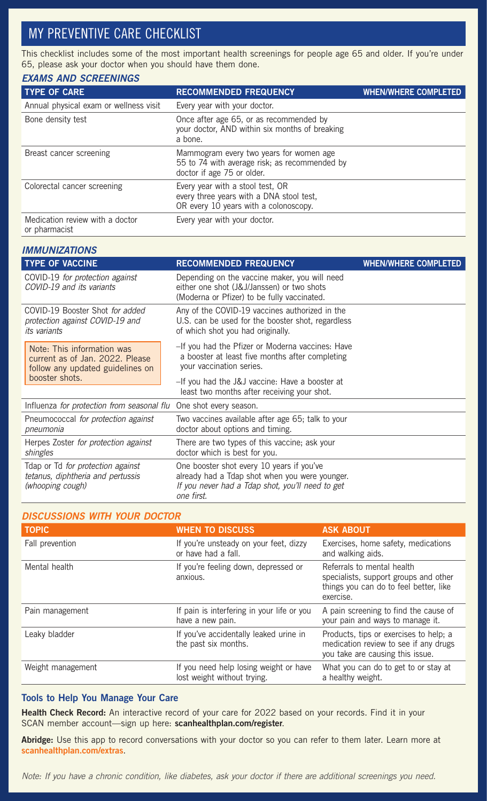## MY PREVENTIVE CARE CHECKLIST

This checklist includes some of the most important health screenings for people age 65 and older. If you're under 65, please ask your doctor when you should have them done.

### *EXAMS AND SCREENINGS*

| <b>TYPE OF CARE</b>                              | <b>RECOMMENDED FREQUENCY</b>                                                                                           | <b>WHEN/WHERE COMPLETED</b> |
|--------------------------------------------------|------------------------------------------------------------------------------------------------------------------------|-----------------------------|
| Annual physical exam or wellness visit           | Every year with your doctor.                                                                                           |                             |
| Bone density test                                | Once after age 65, or as recommended by<br>your doctor, AND within six months of breaking<br>a bone.                   |                             |
| Breast cancer screening                          | Mammogram every two years for women age<br>55 to 74 with average risk; as recommended by<br>doctor if age 75 or older. |                             |
| Colorectal cancer screening                      | Every year with a stool test, OR<br>every three years with a DNA stool test,<br>OR every 10 years with a colonoscopy.  |                             |
| Medication review with a doctor<br>or pharmacist | Every year with your doctor.                                                                                           |                             |

| <b>IMMUNIZATIONS</b>                                                                              |                                                                                                                                                               |                             |
|---------------------------------------------------------------------------------------------------|---------------------------------------------------------------------------------------------------------------------------------------------------------------|-----------------------------|
| <b>TYPE OF VACCINE</b>                                                                            | <b>RECOMMENDED FREQUENCY</b>                                                                                                                                  | <b>WHEN/WHERE COMPLETED</b> |
| COVID-19 for protection against<br>COVID-19 and its variants                                      | Depending on the vaccine maker, you will need<br>either one shot (J&J/Janssen) or two shots<br>(Moderna or Pfizer) to be fully vaccinated.                    |                             |
| COVID-19 Booster Shot for added<br>protection against COVID-19 and<br><i>its</i> variants         | Any of the COVID-19 vaccines authorized in the<br>U.S. can be used for the booster shot, regardless<br>of which shot you had originally.                      |                             |
| Note: This information was<br>current as of Jan. 2022. Please<br>follow any updated guidelines on | -If you had the Pfizer or Moderna vaccines: Have<br>a booster at least five months after completing<br>your vaccination series.                               |                             |
| booster shots.                                                                                    | -If you had the J&J vaccine: Have a booster at<br>least two months after receiving your shot.                                                                 |                             |
| Influenza for protection from seasonal flu                                                        | One shot every season.                                                                                                                                        |                             |
| Pneumococcal for protection against<br>pneumonia                                                  | Two vaccines available after age 65; talk to your<br>doctor about options and timing.                                                                         |                             |
| Herpes Zoster for protection against<br>shingles                                                  | There are two types of this vaccine; ask your<br>doctor which is best for you.                                                                                |                             |
| Tdap or Td for protection against<br>tetanus, diphtheria and pertussis<br>(whooping cough)        | One booster shot every 10 years if you've<br>already had a Tdap shot when you were younger.<br>If you never had a Tdap shot, you'll need to get<br>one first. |                             |

### *DISCUSSIONS WITH YOUR DOCTOR*

| <b>TOPIC</b>      | <b>WHEN TO DISCUSS</b>                                                | <b>ASK ABOUT</b>                                                                                                           |
|-------------------|-----------------------------------------------------------------------|----------------------------------------------------------------------------------------------------------------------------|
| Fall prevention   | If you're unsteady on your feet, dizzy<br>or have had a fall.         | Exercises, home safety, medications<br>and walking aids.                                                                   |
| Mental health     | If you're feeling down, depressed or<br>anxious.                      | Referrals to mental health<br>specialists, support groups and other<br>things you can do to feel better, like<br>exercise. |
| Pain management   | If pain is interfering in your life or you<br>have a new pain.        | A pain screening to find the cause of<br>your pain and ways to manage it.                                                  |
| Leaky bladder     | If you've accidentally leaked urine in<br>the past six months.        | Products, tips or exercises to help; a<br>medication review to see if any drugs<br>you take are causing this issue.        |
| Weight management | If you need help losing weight or have<br>lost weight without trying. | What you can do to get to or stay at<br>a healthy weight.                                                                  |

### Tools to Help You Manage Your Care

Health Check Record: An interactive record of your care for 2022 based on your records. Find it in your SCAN member account—sign up here: scanhealthplan.com/register.

Abridge: Use this app to record conversations with your doctor so you can refer to them later. Learn more at scanhealthplan.com/extras.

*Note: If you have a chronic condition, like diabetes, ask your doctor if there are additional screenings you need.*